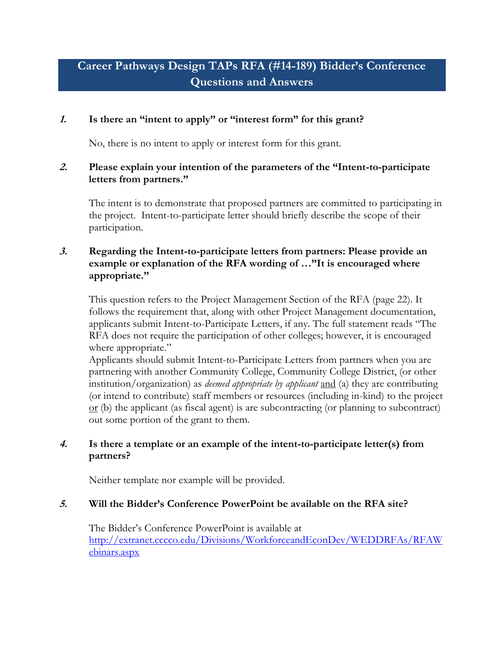# **Career Pathways Design TAPs RFA (#14-189) Bidder's Conference Questions and Answers**

## **1. Is there an "intent to apply" or "interest form" for this grant?**

No, there is no intent to apply or interest form for this grant.

#### **2. Please explain your intention of the parameters of the "Intent-to-participate letters from partners."**

The intent is to demonstrate that proposed partners are committed to participating in the project. Intent-to-participate letter should briefly describe the scope of their participation.

## **3. Regarding the Intent-to-participate letters from partners: Please provide an example or explanation of the RFA wording of …"It is encouraged where appropriate."**

This question refers to the Project Management Section of the RFA (page 22). It follows the requirement that, along with other Project Management documentation, applicants submit Intent-to-Participate Letters, if any. The full statement reads "The RFA does not require the participation of other colleges; however, it is encouraged where appropriate."

Applicants should submit Intent-to-Participate Letters from partners when you are partnering with another Community College, Community College District, (or other institution/organization) as *deemed appropriate by applicant* and (a) they are contributing (or intend to contribute) staff members or resources (including in-kind) to the project  $\alpha$  (b) the applicant (as fiscal agent) is are subcontracting (or planning to subcontract) out some portion of the grant to them.

# **4. Is there a template or an example of the intent-to-participate letter(s) from partners?**

Neither template nor example will be provided.

#### **5. Will the Bidder's Conference PowerPoint be available on the RFA site?**

The Bidder's Conference PowerPoint is available at [http://extranet.cccco.edu/Divisions/WorkforceandEconDev/WEDDRFAs/RFAW](http://extranet.cccco.edu/Divisions/WorkforceandEconDev/WEDDRFAs/RFAWebinars.aspx) [ebinars.aspx](http://extranet.cccco.edu/Divisions/WorkforceandEconDev/WEDDRFAs/RFAWebinars.aspx)